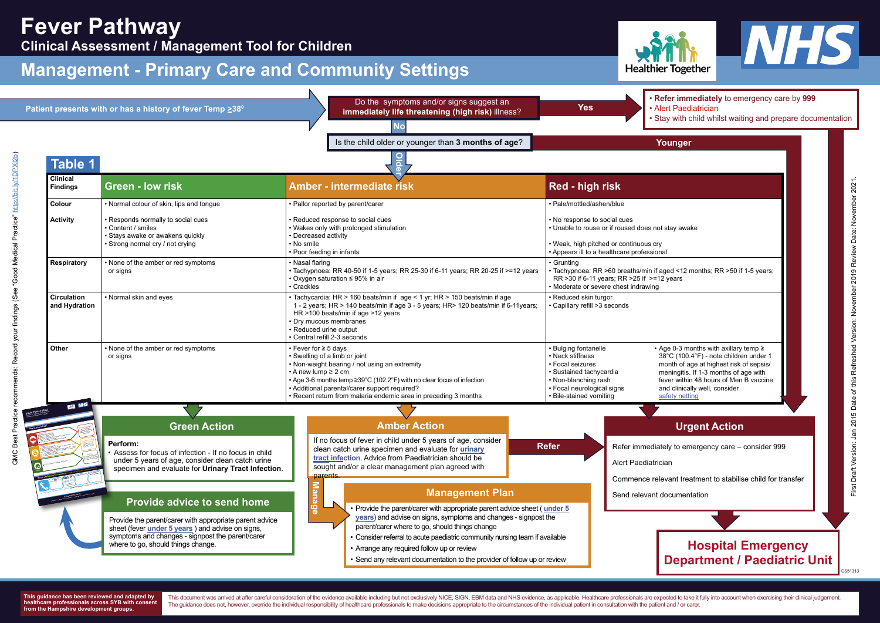> This document was arrived at after careful consideration of the evidence available including but not exclusively NICE, SIGN, EBM data and NHS evidence, as applicable. Healthcare professionals are expected to take it fully The guidance does not, however, override the individual responsibility of healthcare professionals to make decisions appropriate to the circumstances of the individual patient in consultation with the patient and / or care





| <b>Fever Pathway</b><br><b>Clinical Assessment / Management Tool for Children</b><br><b>Management - Primary Care and Community Settings</b> | <b>Healthier Together</b>                                                                                                                                                                                   |                                                                                                                                                                                                                                                                                                                                                                                                                                    |                                                                                                                                                                                                                                                                                                                                                                                                                                              |
|----------------------------------------------------------------------------------------------------------------------------------------------|-------------------------------------------------------------------------------------------------------------------------------------------------------------------------------------------------------------|------------------------------------------------------------------------------------------------------------------------------------------------------------------------------------------------------------------------------------------------------------------------------------------------------------------------------------------------------------------------------------------------------------------------------------|----------------------------------------------------------------------------------------------------------------------------------------------------------------------------------------------------------------------------------------------------------------------------------------------------------------------------------------------------------------------------------------------------------------------------------------------|
|                                                                                                                                              | Patient presents with or has a history of fever Temp ≥38 <sup>0</sup>                                                                                                                                       | Do the symptoms and/or signs suggest an<br>immediately life threatening (high risk) illness?<br><b>No</b>                                                                                                                                                                                                                                                                                                                          | . Refer immediately to emergency<br><b>Yes</b><br>• Alert Paediatrician<br>. Stay with child whilst waiting and p                                                                                                                                                                                                                                                                                                                            |
| <b>Table 1</b>                                                                                                                               |                                                                                                                                                                                                             | Is the child older or younger than 3 months of age?                                                                                                                                                                                                                                                                                                                                                                                | Younger                                                                                                                                                                                                                                                                                                                                                                                                                                      |
| <b>Clinical</b><br><b>Findings</b>                                                                                                           | <b>Green - low risk</b>                                                                                                                                                                                     | <b>Amber - intermediate risk</b>                                                                                                                                                                                                                                                                                                                                                                                                   | Red - high risk                                                                                                                                                                                                                                                                                                                                                                                                                              |
| Colour<br><b>Activity</b><br><b>Respiratory</b>                                                                                              | • Normal colour of skin, lips and tongue<br>Responds normally to social cues<br>Content / smiles<br>· Stays awake or awakens quickly<br>Strong normal cry / not crying<br>None of the amber or red symptoms | · Pallor reported by parent/carer<br>Reduced response to social cues<br>Wakes only with prolonged stimulation<br>• Decreased activity<br>• No smile<br>• Poor feeding in infants<br>• Nasal flaring                                                                                                                                                                                                                                | · Pale/mottled/ashen/blue<br>• No response to social cues<br>• Unable to rouse or if roused does not stay awake<br>• Weak, high pitched or continuous cry<br>• Appears ill to a healthcare professional<br>• Grunting                                                                                                                                                                                                                        |
| <b>Circulation</b><br>and Hydration                                                                                                          | or signs<br>• Normal skin and eyes                                                                                                                                                                          | • Tachypnoea: RR 40-50 if 1-5 years; RR 25-30 if 6-11 years; RR 20-25 if >=12 years<br>• Oxygen saturation ≤ 95% in air<br>• Crackles<br>• Tachycardia: HR > 160 beats/min if age < 1 yr; HR > 150 beats/min if age<br>1 - 2 years; HR > 140 beats/min if age 3 - 5 years; HR > 120 beats/min if 6-11 years;<br>HR >100 beats/min if age >12 years<br>Dry mucous membranes<br>• Reduced urine output<br>Central refill 2-3 seconds | Tachypnoea: RR >60 breaths/min if aged <12 months; RR >50 if 1-5 years;<br>RR > 30 if 6-11 years; RR > 25 if > = 12 years<br>• Moderate or severe chest indrawing<br>· Reduced skin turgor<br>• Capillary refill >3 seconds                                                                                                                                                                                                                  |
| Other                                                                                                                                        | • None of the amber or red symptoms<br>or signs                                                                                                                                                             | $\cdot$ Fever for $\geq$ 5 davs<br>• Swelling of a limb or joint<br>• Non-weight bearing / not using an extremity<br>$\cdot$ A new lump $\geq$ 2 cm<br>• Age 3-6 months temp ≥39°C (102.2°F) with no clear focus of infection<br>• Additional parental/carer support required?<br>Recent return from malaria endemic area in preceding 3 months                                                                                    | • Bulging fontanelle<br>• Age 0-3 months with axillary temp ≥<br>• Neck stiffness<br>38°C (100.4°F) - note children under 1<br>• Focal seizures<br>month of age at highest risk of sepsis/<br>meningitis. If 1-3 months of age with<br>· Sustained tachycardia<br>• Non-blanching rash<br>fever within 48 hours of Men B vaccine<br>· Focal neurological signs<br>and clinically well, consider<br>· Bile-stained vomiting<br>safety netting |
| <b>ALL</b> NHS                                                                                                                               | <b>Green Action</b><br>Perform:<br>• Assess for focus of infection - If no focus in child<br>under 5 years of age, consider clean catch urine                                                               | <b>Amber Action</b><br>If no focus of fever in child under 5 years of age, consider<br>clean catch urine specimen and evaluate for urinary<br>tract infection. Advice from Paediatrician should be                                                                                                                                                                                                                                 | <b>Urgent Action</b><br><b>Refer</b><br>Refer immediately to emergency care - consider<br>Alert Paediatrician                                                                                                                                                                                                                                                                                                                                |

**GP Surgery** .......................................



## **Management - Primary Care and Community Settings**

**This guidance has been reviewed and adapted by healthcare professionals across SYB with consent from the Hampshire development groups.** 

**Gree<sup>n</sup>**

• **Refer immediately** to emergency care by **999** • Alert Paediatrician

• Stay with child whilst waiting and prepare documentation

| Younger                                                                                                                                                                                                                                                                    |  |  |                                                                                            |  |  |
|----------------------------------------------------------------------------------------------------------------------------------------------------------------------------------------------------------------------------------------------------------------------------|--|--|--------------------------------------------------------------------------------------------|--|--|
|                                                                                                                                                                                                                                                                            |  |  |                                                                                            |  |  |
|                                                                                                                                                                                                                                                                            |  |  |                                                                                            |  |  |
|                                                                                                                                                                                                                                                                            |  |  |                                                                                            |  |  |
|                                                                                                                                                                                                                                                                            |  |  |                                                                                            |  |  |
| าot stay awake                                                                                                                                                                                                                                                             |  |  |                                                                                            |  |  |
| сrу<br>onal                                                                                                                                                                                                                                                                |  |  |                                                                                            |  |  |
| if aged <12 months; RR >50 if 1-5 years;<br>=12 years<br>ıg                                                                                                                                                                                                                |  |  |                                                                                            |  |  |
|                                                                                                                                                                                                                                                                            |  |  |                                                                                            |  |  |
| $\cdot$ Age 0-3 months with axillary temp $\ge$<br>38°C (100.4°F) - note children under 1<br>month of age at highest risk of sepsis/<br>meningitis. If 1-3 months of age with<br>fever within 48 hours of Men B vaccine<br>and clinically well, consider<br>safety netting |  |  | Version: Jan 2015 Date of this Refreshed Version: November 2019 Review Date: November 2021 |  |  |
|                                                                                                                                                                                                                                                                            |  |  |                                                                                            |  |  |
| <b>Urgent Action</b>                                                                                                                                                                                                                                                       |  |  |                                                                                            |  |  |
| iately to emergency care – consider 999                                                                                                                                                                                                                                    |  |  |                                                                                            |  |  |
| rician                                                                                                                                                                                                                                                                     |  |  |                                                                                            |  |  |
| elevant treatment to stabilise child for transfer                                                                                                                                                                                                                          |  |  |                                                                                            |  |  |
| it documentation                                                                                                                                                                                                                                                           |  |  | First Draft                                                                                |  |  |
|                                                                                                                                                                                                                                                                            |  |  |                                                                                            |  |  |
| <b>Hospital Emergency</b><br>Department / Paediatric Unit<br>CS51313                                                                                                                                                                                                       |  |  |                                                                                            |  |  |